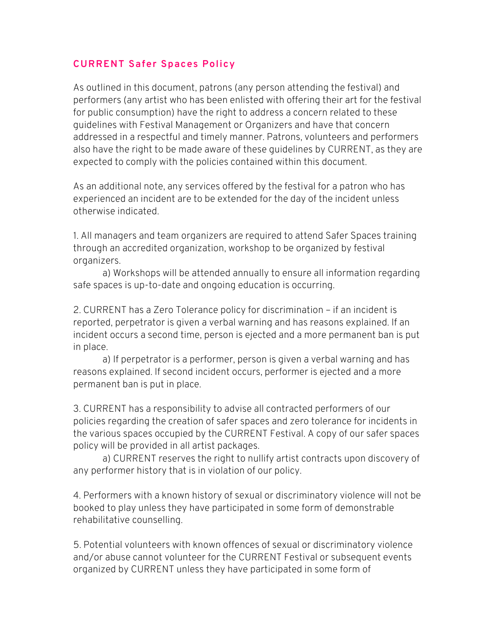## **CURRENT Safer Spaces Policy**

As outlined in this document, patrons (any person attending the festival) and performers (any artist who has been enlisted with offering their art for the festival for public consumption) have the right to address a concern related to these guidelines with Festival Management or Organizers and have that concern addressed in a respectful and timely manner. Patrons, volunteers and performers also have the right to be made aware of these guidelines by CURRENT, as they are expected to comply with the policies contained within this document.

As an additional note, any services offered by the festival for a patron who has experienced an incident are to be extended for the day of the incident unless otherwise indicated.

1. All managers and team organizers are required to attend Safer Spaces training through an accredited organization, workshop to be organized by festival organizers.

a) Workshops will be attended annually to ensure all information regarding safe spaces is up-to-date and ongoing education is occurring.

2. CURRENT has a Zero Tolerance policy for discrimination – if an incident is reported, perpetrator is given a verbal warning and has reasons explained. If an incident occurs a second time, person is ejected and a more permanent ban is put in place.

a) If perpetrator is a performer, person is given a verbal warning and has reasons explained. If second incident occurs, performer is ejected and a more permanent ban is put in place.

3. CURRENT has a responsibility to advise all contracted performers of our policies regarding the creation of safer spaces and zero tolerance for incidents in the various spaces occupied by the CURRENT Festival. A copy of our safer spaces policy will be provided in all artist packages.

a) CURRENT reserves the right to nullify artist contracts upon discovery of any performer history that is in violation of our policy.

4. Performers with a known history of sexual or discriminatory violence will not be booked to play unless they have participated in some form of demonstrable rehabilitative counselling.

5. Potential volunteers with known offences of sexual or discriminatory violence and/or abuse cannot volunteer for the CURRENT Festival or subsequent events organized by CURRENT unless they have participated in some form of